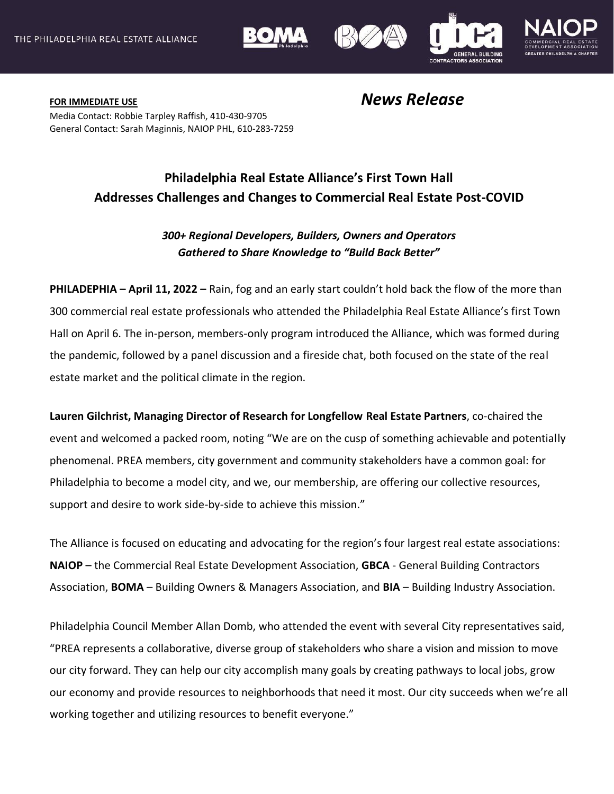



**FOR IMMEDIATE USE** *News Release* Media Contact: Robbie Tarpley Raffish, 410-430-9705 General Contact: Sarah Maginnis, NAIOP PHL, 610-283-7259

## **Philadelphia Real Estate Alliance's First Town Hall Addresses Challenges and Changes to Commercial Real Estate Post-COVID**

## *300+ Regional Developers, Builders, Owners and Operators Gathered to Share Knowledge to "Build Back Better"*

**PHILADEPHIA – April 11, 2022 –** Rain, fog and an early start couldn't hold back the flow of the more than 300 commercial real estate professionals who attended the Philadelphia Real Estate Alliance's first Town Hall on April 6. The in-person, members-only program introduced the Alliance, which was formed during the pandemic, followed by a panel discussion and a fireside chat, both focused on the state of the real estate market and the political climate in the region.

**Lauren Gilchrist, Managing Director of Research for Longfellow Real Estate Partners**, co-chaired the event and welcomed a packed room, noting "We are on the cusp of something achievable and potentially phenomenal. PREA members, city government and community stakeholders have a common goal: for Philadelphia to become a model city, and we, our membership, are offering our collective resources, support and desire to work side-by-side to achieve this mission."

The Alliance is focused on educating and advocating for the region's four largest real estate associations: **NAIOP** – the Commercial Real Estate Development Association, **GBCA** - General Building Contractors Association, **BOMA** – Building Owners & Managers Association, and **BIA** – Building Industry Association.

Philadelphia Council Member Allan Domb, who attended the event with several City representatives said, "PREA represents a collaborative, diverse group of stakeholders who share a vision and mission to move our city forward. They can help our city accomplish many goals by creating pathways to local jobs, grow our economy and provide resources to neighborhoods that need it most. Our city succeeds when we're all working together and utilizing resources to benefit everyone."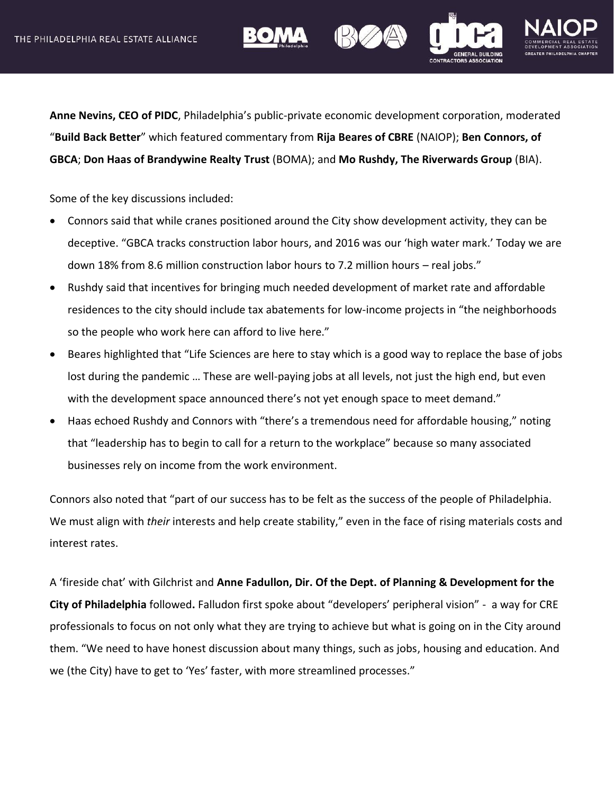





**Anne Nevins, CEO of PIDC**, Philadelphia's public-private economic development corporation, moderated "**Build Back Better**" which featured commentary from **Rija Beares of CBRE** (NAIOP); **Ben Connors, of GBCA**; **Don Haas of Brandywine Realty Trust** (BOMA); and **Mo Rushdy, The Riverwards Group** (BIA).

Some of the key discussions included:

- Connors said that while cranes positioned around the City show development activity, they can be deceptive. "GBCA tracks construction labor hours, and 2016 was our 'high water mark.' Today we are down 18% from 8.6 million construction labor hours to 7.2 million hours – real jobs."
- Rushdy said that incentives for bringing much needed development of market rate and affordable residences to the city should include tax abatements for low-income projects in "the neighborhoods so the people who work here can afford to live here."
- Beares highlighted that "Life Sciences are here to stay which is a good way to replace the base of jobs lost during the pandemic … These are well-paying jobs at all levels, not just the high end, but even with the development space announced there's not yet enough space to meet demand."
- Haas echoed Rushdy and Connors with "there's a tremendous need for affordable housing," noting that "leadership has to begin to call for a return to the workplace" because so many associated businesses rely on income from the work environment.

Connors also noted that "part of our success has to be felt as the success of the people of Philadelphia. We must align with *their* interests and help create stability," even in the face of rising materials costs and interest rates.

A 'fireside chat' with Gilchrist and **Anne Fadullon, Dir. Of the Dept. of Planning & Development for the City of Philadelphia** followed**.** Falludon first spoke about "developers' peripheral vision" - a way for CRE professionals to focus on not only what they are trying to achieve but what is going on in the City around them. "We need to have honest discussion about many things, such as jobs, housing and education. And we (the City) have to get to 'Yes' faster, with more streamlined processes."